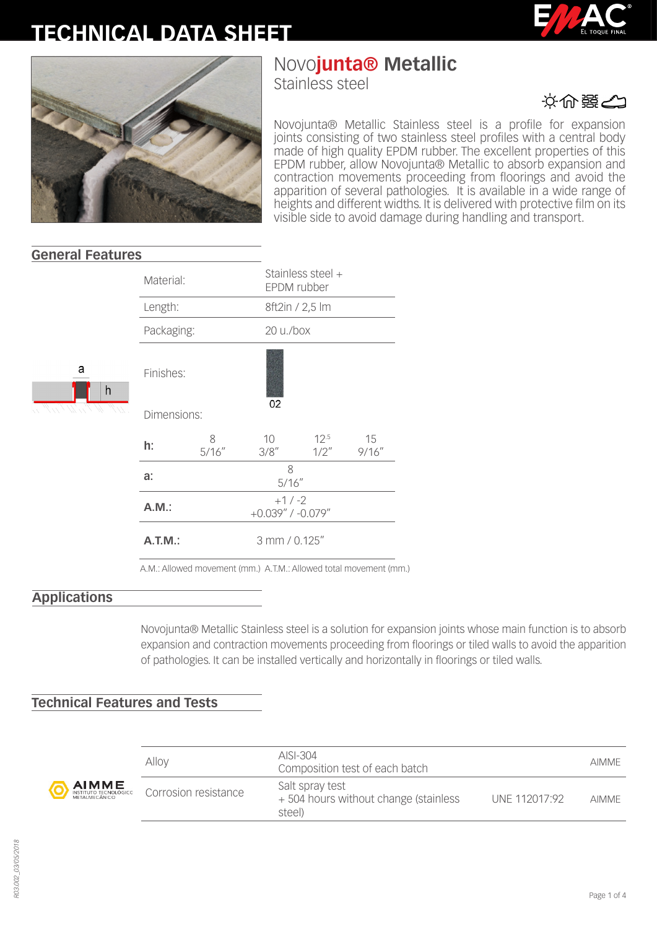## **TECHNICAL DATA SHEET**





# Novo**junta® Metallic**

Stainless steel

文命器の

Novojunta® Metallic Stainless steel is a profile for expansion joints consisting of two stainless steel profiles with a central body made of high quality EPDM rubber. The excellent properties of this EPDM rubber, allow Novojunta® Metallic to absorb expansion and contraction movements proceeding from floorings and avoid the apparition of several pathologies. It is available in a wide range of heights and different widths. It is delivered with protective film on its visible side to avoid damage during handling and transport.

|        | Material:         |                                  |             | Stainless steel +<br>EPDM rubber |              |  |
|--------|-------------------|----------------------------------|-------------|----------------------------------|--------------|--|
| а<br>h | Length:           |                                  |             | 8ft2in / 2,5 lm                  |              |  |
|        | Packaging:        |                                  |             | 20 u./box                        |              |  |
|        | Finishes:         |                                  |             |                                  |              |  |
|        | 02<br>Dimensions: |                                  |             |                                  |              |  |
|        | h:                | 8<br>5/16''                      | 10<br>3/8'' | $12^{.5}$<br>$1/2$ "             | 15<br>9/16'' |  |
|        | a:                | 8<br>5/16''                      |             |                                  |              |  |
|        | A.M.:             | $+1/ -2$<br>$+0.039''$ / -0.079" |             |                                  |              |  |
|        | $A.T.M.$ :        | 3 mm / 0.125"                    |             |                                  |              |  |
|        |                   |                                  |             |                                  |              |  |

A.M.: Allowed movement (mm.) A.T.M.: Allowed total movement (mm.)

## **Applications**

**General Features**

Novojunta® Metallic Stainless steel is a solution for expansion joints whose main function is to absorb expansion and contraction movements proceeding from floorings or tiled walls to avoid the apparition of pathologies. It can be installed vertically and horizontally in floorings or tiled walls.

## **Technical Features and Tests**



| Alloy                | $AISI-304$<br>Composition test of each batch                      |               | <b>AIMMF</b> |
|----------------------|-------------------------------------------------------------------|---------------|--------------|
| Corrosion resistance | Salt spray test<br>+504 hours without change (stainless<br>steel) | UNF 112017:92 | <b>AIMMF</b> |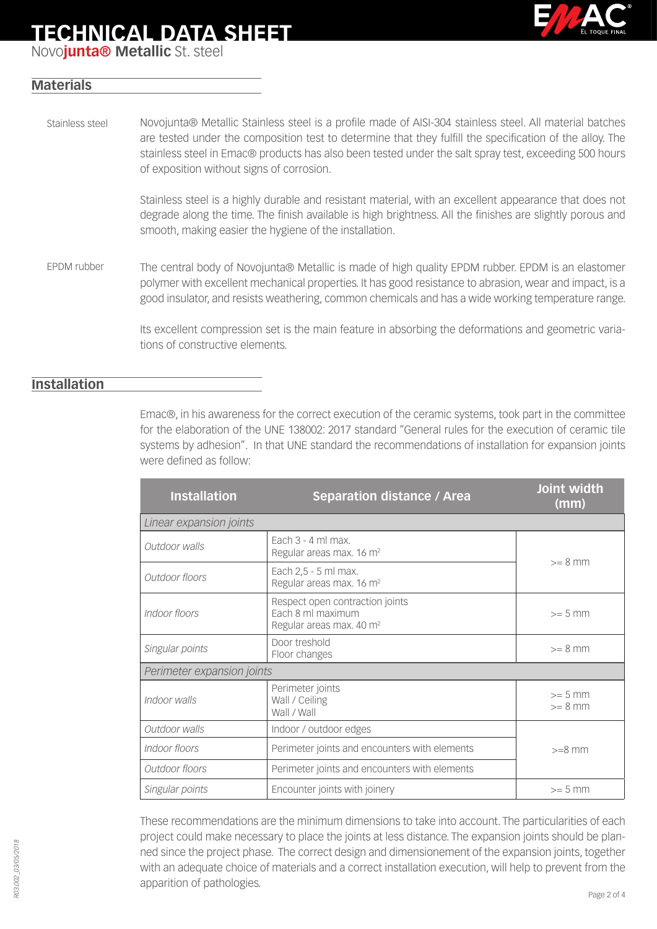## **TECHNICAL DATA SHEET**



Novo**junta® Metallic** St. steel

## **Materials**

Novojunta® Metallic Stainless steel is a profile made of AISI-304 stainless steel. All material batches are tested under the composition test to determine that they fulfill the specification of the alloy. The stainless steel in Emac® products has also been tested under the salt spray test, exceeding 500 hours of exposition without signs of corrosion. Stainless steel

> Stainless steel is a highly durable and resistant material, with an excellent appearance that does not degrade along the time. The finish available is high brightness. All the finishes are slightly porous and smooth, making easier the hygiene of the installation.

The central body of Novojunta® Metallic is made of high quality EPDM rubber. EPDM is an elastomer polymer with excellent mechanical properties. It has good resistance to abrasion, wear and impact, is a good insulator, and resists weathering, common chemicals and has a wide working temperature range. EPDM rubber

> Its excellent compression set is the main feature in absorbing the deformations and geometric variations of constructive elements.

### **Installation**

Emac®, in his awareness for the correct execution of the ceramic systems, took part in the committee for the elaboration of the UNE 138002: 2017 standard "General rules for the execution of ceramic tile systems by adhesion". In that UNE standard the recommendations of installation for expansion joints were defined as follow:

| <b>Installation</b>                                                            | <b>Separation distance / Area</b>                                                            | Joint width<br>(mm)    |  |
|--------------------------------------------------------------------------------|----------------------------------------------------------------------------------------------|------------------------|--|
| Linear expansion joints                                                        |                                                                                              |                        |  |
| Outdoor walls                                                                  | Fach $3 - 4$ ml max.<br>Regular areas max. 16 m <sup>2</sup>                                 | $>= 8$ mm              |  |
| Each 2,5 - 5 ml max.<br>Outdoor floors<br>Regular areas max. 16 m <sup>2</sup> |                                                                                              |                        |  |
| Indoor floors                                                                  | Respect open contraction joints<br>Fach 8 ml maximum<br>Regular areas max. 40 m <sup>2</sup> | $>= 5$ mm              |  |
| Singular points                                                                | Door treshold<br>Floor changes                                                               | $>= 8$ mm              |  |
| Perimeter expansion joints                                                     |                                                                                              |                        |  |
| Indoor walls                                                                   | Perimeter joints<br>Wall / Ceiling<br>Wall / Wall                                            | $>= 5$ mm<br>$>= 8$ mm |  |
| Outdoor walls                                                                  | Indoor / outdoor edges                                                                       |                        |  |
| Indoor floors                                                                  | Perimeter joints and encounters with elements                                                |                        |  |
| Outdoor floors                                                                 | Perimeter joints and encounters with elements                                                |                        |  |
| Singular points                                                                | Encounter joints with joinery                                                                | $>= 5$ mm              |  |

These recommendations are the minimum dimensions to take into account. The particularities of each project could make necessary to place the joints at less distance. The expansion joints should be planned since the project phase. The correct design and dimensionement of the expansion joints, together with an adequate choice of materials and a correct installation execution, will help to prevent from the apparition of pathologies.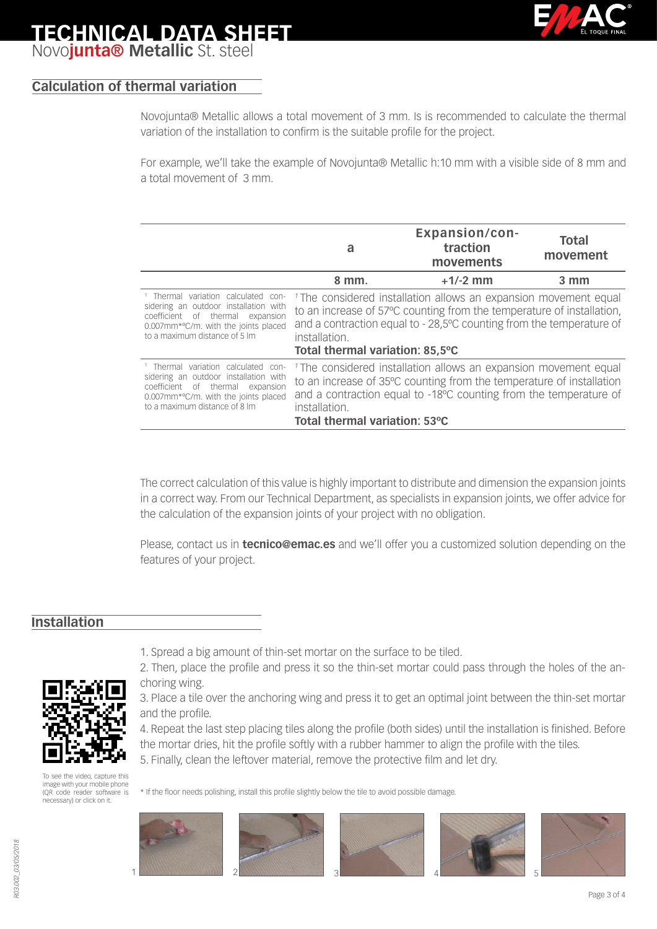

## **TECHNICAL DATA SHEET** Novo**junta® Metallic** St. steel

## **Calculation of thermal variation**

Novojunta® Metallic allows a total movement of 3 mm. Is is recommended to calculate the thermal variation of the installation to confirm is the suitable profile for the project.

For example, we'll take the example of Novojunta® Metallic h:10 mm with a visible side of 8 mm and a total movement of 3 mm.

|                                                                                                                                                                                                                                                                                                                                                                                                                                                                                    | a                                                                                                                                                                                                                                                                                | <b>Expansion/con-</b><br>traction<br>movements | <b>Total</b><br>movement |
|------------------------------------------------------------------------------------------------------------------------------------------------------------------------------------------------------------------------------------------------------------------------------------------------------------------------------------------------------------------------------------------------------------------------------------------------------------------------------------|----------------------------------------------------------------------------------------------------------------------------------------------------------------------------------------------------------------------------------------------------------------------------------|------------------------------------------------|--------------------------|
|                                                                                                                                                                                                                                                                                                                                                                                                                                                                                    | 8 mm.                                                                                                                                                                                                                                                                            | $+1/-2$ mm                                     | $3 \, \text{mm}$         |
| <sup>1</sup> Thermal variation calculated<br>con-<br>sidering an outdoor installation with<br>coefficient of thermal expansion<br>0.007mm*°C/m. with the joints placed<br>to a maximum distance of 5 lm                                                                                                                                                                                                                                                                            | <sup>1</sup> The considered installation allows an expansion movement equal<br>to an increase of 57°C counting from the temperature of installation,<br>and a contraction equal to - 28,5°C counting from the temperature of<br>installation.<br>Total thermal variation: 85,5°C |                                                |                          |
| <sup>1</sup> Thermal variation calculated con-<br><sup>1</sup> The considered installation allows an expansion movement equal<br>sidering an outdoor installation with<br>to an increase of 35°C counting from the temperature of installation<br>coefficient of thermal expansion<br>and a contraction equal to -18°C counting from the temperature of<br>0.007mm*°C/m. with the joints placed<br>to a maximum distance of 8 lm<br>installation.<br>Total thermal variation: 53°C |                                                                                                                                                                                                                                                                                  |                                                |                          |

The correct calculation of this value is highly important to distribute and dimension the expansion joints in a correct way. From our Technical Department, as specialists in expansion joints, we offer advice for the calculation of the expansion joints of your project with no obligation.

Please, contact us in **tecnico@emac.es** and we'll offer you a customized solution depending on the features of your project.

### **Installation**



[To see the video, capture this](http://www.youtube.com/watch?v=Y81EHfIP3E4)  image with your mobile phone (QR code reader software is necessary) or click on it.

1. Spread a big amount of thin-set mortar on the surface to be tiled.

- 4. Repeat the last step placing tiles along the profile (both sides) until the installation is finished. Before the mortar dries, hit the profile softly with a rubber hammer to align the profile with the tiles.
- 5. Finally, clean the leftover material, remove the protective film and let dry.

\* If the floor needs polishing, install this profile slightly below the tile to avoid possible damage.



<sup>2.</sup> Then, place the profile and press it so the thin-set mortar could pass through the holes of the anchoring wing.

<sup>3.</sup> Place a tile over the anchoring wing and press it to get an optimal joint between the thin-set mortar and the profile.